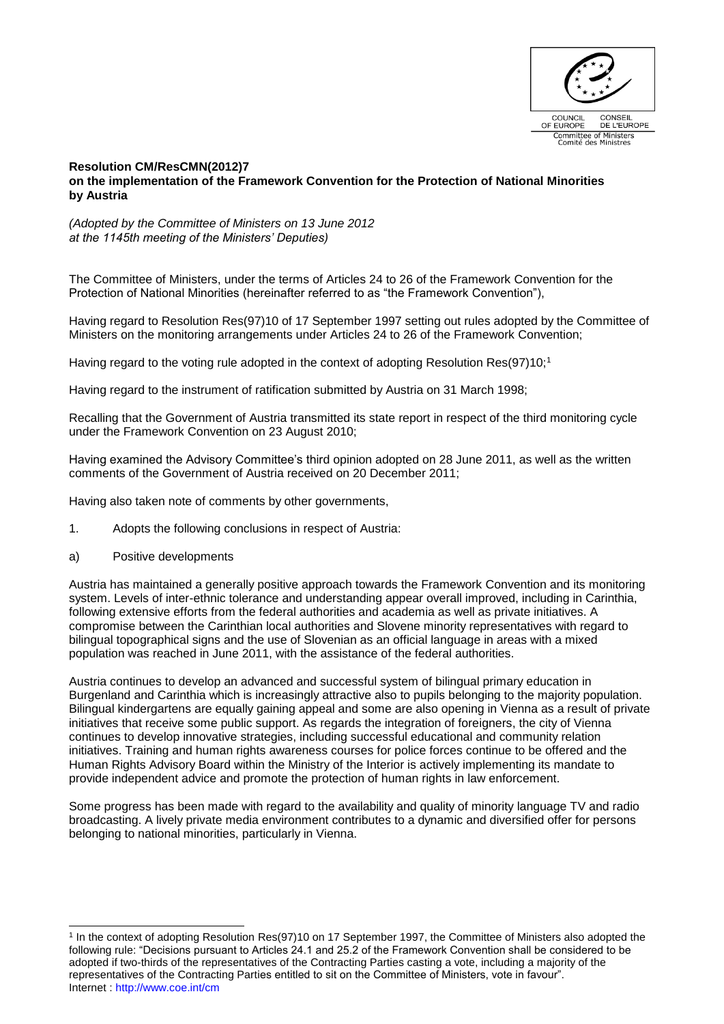

## **Resolution CM/ResCMN(2012)7 on the implementation of the Framework Convention for the Protection of National Minorities by Austria**

*(Adopted by the Committee of Ministers on 13 June 2012 at the 1145th meeting of the Ministers' Deputies)*

The Committee of Ministers, under the terms of Articles 24 to 26 of the Framework Convention for the Protection of National Minorities (hereinafter referred to as "the Framework Convention"),

Having regard to Resolution Res(97)10 of 17 September 1997 setting out rules adopted by the Committee of Ministers on the monitoring arrangements under Articles 24 to 26 of the Framework Convention;

Having regard to the voting rule adopted in the context of adopting Resolution Res(97)10;<sup>1</sup>

Having regard to the instrument of ratification submitted by Austria on 31 March 1998;

Recalling that the Government of Austria transmitted its state report in respect of the third monitoring cycle under the Framework Convention on 23 August 2010;

Having examined the Advisory Committee's third opinion adopted on 28 June 2011, as well as the written comments of the Government of Austria received on 20 December 2011;

Having also taken note of comments by other governments,

- 1. Adopts the following conclusions in respect of Austria:
- a) Positive developments

Austria has maintained a generally positive approach towards the Framework Convention and its monitoring system. Levels of inter-ethnic tolerance and understanding appear overall improved, including in Carinthia, following extensive efforts from the federal authorities and academia as well as private initiatives. A compromise between the Carinthian local authorities and Slovene minority representatives with regard to bilingual topographical signs and the use of Slovenian as an official language in areas with a mixed population was reached in June 2011, with the assistance of the federal authorities.

Austria continues to develop an advanced and successful system of bilingual primary education in Burgenland and Carinthia which is increasingly attractive also to pupils belonging to the majority population. Bilingual kindergartens are equally gaining appeal and some are also opening in Vienna as a result of private initiatives that receive some public support. As regards the integration of foreigners, the city of Vienna continues to develop innovative strategies, including successful educational and community relation initiatives. Training and human rights awareness courses for police forces continue to be offered and the Human Rights Advisory Board within the Ministry of the Interior is actively implementing its mandate to provide independent advice and promote the protection of human rights in law enforcement.

Some progress has been made with regard to the availability and quality of minority language TV and radio broadcasting. A lively private media environment contributes to a dynamic and diversified offer for persons belonging to national minorities, particularly in Vienna.

Internet :<http://www.coe.int/cm> 1 In the context of adopting Resolution Res(97)10 on 17 September 1997, the Committee of Ministers also adopted the following rule: "Decisions pursuant to Articles 24.1 and 25.2 of the Framework Convention shall be considered to be adopted if two-thirds of the representatives of the Contracting Parties casting a vote, including a majority of the representatives of the Contracting Parties entitled to sit on the Committee of Ministers, vote in favour".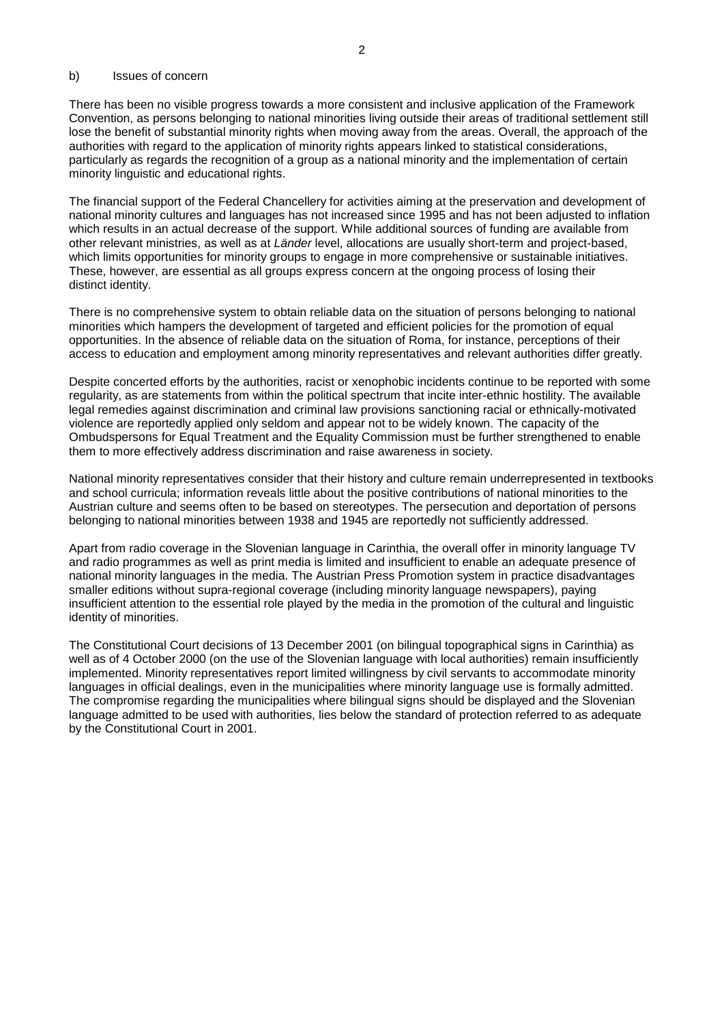## b) Issues of concern

There has been no visible progress towards a more consistent and inclusive application of the Framework Convention, as persons belonging to national minorities living outside their areas of traditional settlement still lose the benefit of substantial minority rights when moving away from the areas. Overall, the approach of the authorities with regard to the application of minority rights appears linked to statistical considerations, particularly as regards the recognition of a group as a national minority and the implementation of certain minority linguistic and educational rights.

The financial support of the Federal Chancellery for activities aiming at the preservation and development of national minority cultures and languages has not increased since 1995 and has not been adjusted to inflation which results in an actual decrease of the support. While additional sources of funding are available from other relevant ministries, as well as at *Länder* level, allocations are usually short-term and project-based, which limits opportunities for minority groups to engage in more comprehensive or sustainable initiatives. These, however, are essential as all groups express concern at the ongoing process of losing their distinct identity.

There is no comprehensive system to obtain reliable data on the situation of persons belonging to national minorities which hampers the development of targeted and efficient policies for the promotion of equal opportunities. In the absence of reliable data on the situation of Roma, for instance, perceptions of their access to education and employment among minority representatives and relevant authorities differ greatly.

Despite concerted efforts by the authorities, racist or xenophobic incidents continue to be reported with some regularity, as are statements from within the political spectrum that incite inter-ethnic hostility. The available legal remedies against discrimination and criminal law provisions sanctioning racial or ethnically-motivated violence are reportedly applied only seldom and appear not to be widely known. The capacity of the Ombudspersons for Equal Treatment and the Equality Commission must be further strengthened to enable them to more effectively address discrimination and raise awareness in society.

National minority representatives consider that their history and culture remain underrepresented in textbooks and school curricula; information reveals little about the positive contributions of national minorities to the Austrian culture and seems often to be based on stereotypes. The persecution and deportation of persons belonging to national minorities between 1938 and 1945 are reportedly not sufficiently addressed.

Apart from radio coverage in the Slovenian language in Carinthia, the overall offer in minority language TV and radio programmes as well as print media is limited and insufficient to enable an adequate presence of national minority languages in the media. The Austrian Press Promotion system in practice disadvantages smaller editions without supra-regional coverage (including minority language newspapers), paying insufficient attention to the essential role played by the media in the promotion of the cultural and linguistic identity of minorities.

The Constitutional Court decisions of 13 December 2001 (on bilingual topographical signs in Carinthia) as well as of 4 October 2000 (on the use of the Slovenian language with local authorities) remain insufficiently implemented. Minority representatives report limited willingness by civil servants to accommodate minority languages in official dealings, even in the municipalities where minority language use is formally admitted. The compromise regarding the municipalities where bilingual signs should be displayed and the Slovenian language admitted to be used with authorities, lies below the standard of protection referred to as adequate by the Constitutional Court in 2001.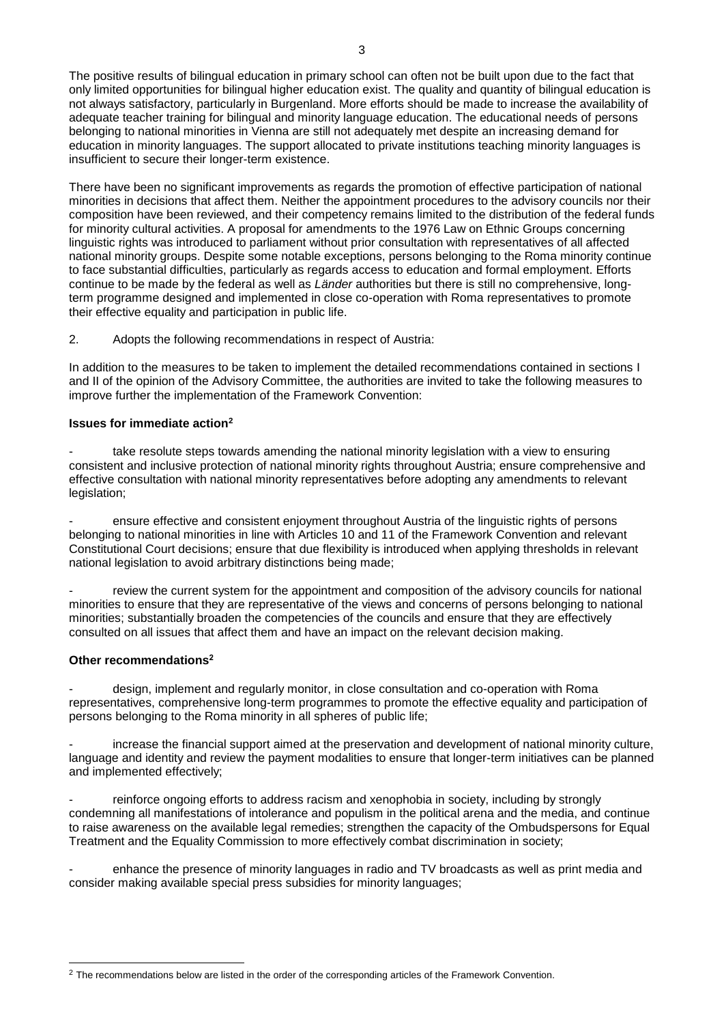The positive results of bilingual education in primary school can often not be built upon due to the fact that only limited opportunities for bilingual higher education exist. The quality and quantity of bilingual education is not always satisfactory, particularly in Burgenland. More efforts should be made to increase the availability of adequate teacher training for bilingual and minority language education. The educational needs of persons belonging to national minorities in Vienna are still not adequately met despite an increasing demand for education in minority languages. The support allocated to private institutions teaching minority languages is insufficient to secure their longer-term existence.

There have been no significant improvements as regards the promotion of effective participation of national minorities in decisions that affect them. Neither the appointment procedures to the advisory councils nor their composition have been reviewed, and their competency remains limited to the distribution of the federal funds for minority cultural activities. A proposal for amendments to the 1976 Law on Ethnic Groups concerning linguistic rights was introduced to parliament without prior consultation with representatives of all affected national minority groups. Despite some notable exceptions, persons belonging to the Roma minority continue to face substantial difficulties, particularly as regards access to education and formal employment. Efforts continue to be made by the federal as well as *Länder* authorities but there is still no comprehensive, longterm programme designed and implemented in close co-operation with Roma representatives to promote their effective equality and participation in public life.

2. Adopts the following recommendations in respect of Austria:

In addition to the measures to be taken to implement the detailed recommendations contained in sections I and II of the opinion of the Advisory Committee, the authorities are invited to take the following measures to improve further the implementation of the Framework Convention:

## **Issues for immediate action<sup>2</sup>**

take resolute steps towards amending the national minority legislation with a view to ensuring consistent and inclusive protection of national minority rights throughout Austria; ensure comprehensive and effective consultation with national minority representatives before adopting any amendments to relevant legislation;

ensure effective and consistent enjoyment throughout Austria of the linguistic rights of persons belonging to national minorities in line with Articles 10 and 11 of the Framework Convention and relevant Constitutional Court decisions; ensure that due flexibility is introduced when applying thresholds in relevant national legislation to avoid arbitrary distinctions being made;

review the current system for the appointment and composition of the advisory councils for national minorities to ensure that they are representative of the views and concerns of persons belonging to national minorities; substantially broaden the competencies of the councils and ensure that they are effectively consulted on all issues that affect them and have an impact on the relevant decision making.

## **Other recommendations<sup>2</sup>**

l

design, implement and regularly monitor, in close consultation and co-operation with Roma representatives, comprehensive long-term programmes to promote the effective equality and participation of persons belonging to the Roma minority in all spheres of public life;

increase the financial support aimed at the preservation and development of national minority culture, language and identity and review the payment modalities to ensure that longer-term initiatives can be planned and implemented effectively;

reinforce ongoing efforts to address racism and xenophobia in society, including by strongly condemning all manifestations of intolerance and populism in the political arena and the media, and continue to raise awareness on the available legal remedies; strengthen the capacity of the Ombudspersons for Equal Treatment and the Equality Commission to more effectively combat discrimination in society;

enhance the presence of minority languages in radio and TV broadcasts as well as print media and consider making available special press subsidies for minority languages;

<sup>&</sup>lt;sup>2</sup> The recommendations below are listed in the order of the corresponding articles of the Framework Convention.